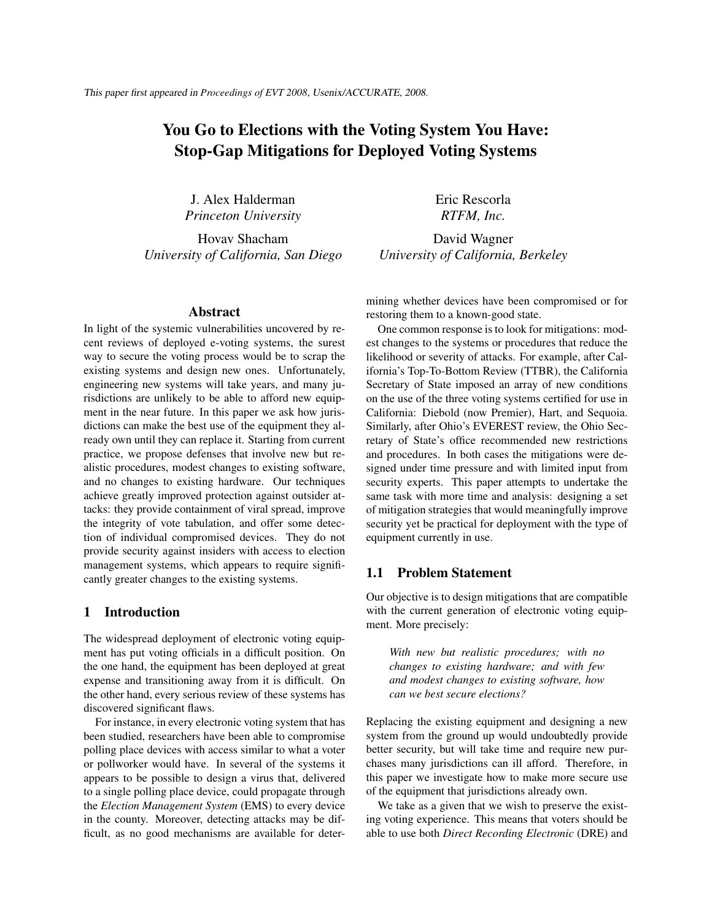# You Go to Elections with the Voting System You Have: Stop-Gap Mitigations for Deployed Voting Systems

J. Alex Halderman *Princeton University*

Hovav Shacham *University of California, San Diego*

#### Abstract

In light of the systemic vulnerabilities uncovered by recent reviews of deployed e-voting systems, the surest way to secure the voting process would be to scrap the existing systems and design new ones. Unfortunately, engineering new systems will take years, and many jurisdictions are unlikely to be able to afford new equipment in the near future. In this paper we ask how jurisdictions can make the best use of the equipment they already own until they can replace it. Starting from current practice, we propose defenses that involve new but realistic procedures, modest changes to existing software, and no changes to existing hardware. Our techniques achieve greatly improved protection against outsider attacks: they provide containment of viral spread, improve the integrity of vote tabulation, and offer some detection of individual compromised devices. They do not provide security against insiders with access to election management systems, which appears to require significantly greater changes to the existing systems.

#### 1 Introduction

The widespread deployment of electronic voting equipment has put voting officials in a difficult position. On the one hand, the equipment has been deployed at great expense and transitioning away from it is difficult. On the other hand, every serious review of these systems has discovered significant flaws.

For instance, in every electronic voting system that has been studied, researchers have been able to compromise polling place devices with access similar to what a voter or pollworker would have. In several of the systems it appears to be possible to design a virus that, delivered to a single polling place device, could propagate through the *Election Management System* (EMS) to every device in the county. Moreover, detecting attacks may be difficult, as no good mechanisms are available for deterEric Rescorla *RTFM, Inc.*

David Wagner *University of California, Berkeley*

mining whether devices have been compromised or for restoring them to a known-good state.

One common response is to look for mitigations: modest changes to the systems or procedures that reduce the likelihood or severity of attacks. For example, after California's Top-To-Bottom Review (TTBR), the California Secretary of State imposed an array of new conditions on the use of the three voting systems certified for use in California: Diebold (now Premier), Hart, and Sequoia. Similarly, after Ohio's EVEREST review, the Ohio Secretary of State's office recommended new restrictions and procedures. In both cases the mitigations were designed under time pressure and with limited input from security experts. This paper attempts to undertake the same task with more time and analysis: designing a set of mitigation strategies that would meaningfully improve security yet be practical for deployment with the type of equipment currently in use.

#### 1.1 Problem Statement

Our objective is to design mitigations that are compatible with the current generation of electronic voting equipment. More precisely:

*With new but realistic procedures; with no changes to existing hardware; and with few and modest changes to existing software, how can we best secure elections?*

Replacing the existing equipment and designing a new system from the ground up would undoubtedly provide better security, but will take time and require new purchases many jurisdictions can ill afford. Therefore, in this paper we investigate how to make more secure use of the equipment that jurisdictions already own.

We take as a given that we wish to preserve the existing voting experience. This means that voters should be able to use both *Direct Recording Electronic* (DRE) and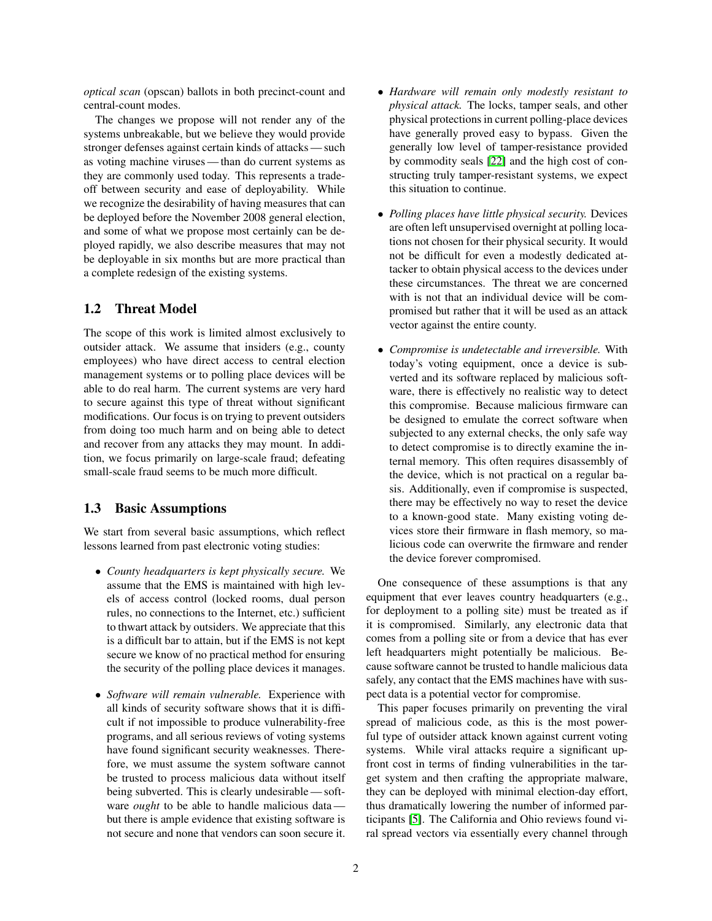*optical scan* (opscan) ballots in both precinct-count and central-count modes.

The changes we propose will not render any of the systems unbreakable, but we believe they would provide stronger defenses against certain kinds of attacks — such as voting machine viruses — than do current systems as they are commonly used today. This represents a tradeoff between security and ease of deployability. While we recognize the desirability of having measures that can be deployed before the November 2008 general election, and some of what we propose most certainly can be deployed rapidly, we also describe measures that may not be deployable in six months but are more practical than a complete redesign of the existing systems.

# 1.2 Threat Model

The scope of this work is limited almost exclusively to outsider attack. We assume that insiders (e.g., county employees) who have direct access to central election management systems or to polling place devices will be able to do real harm. The current systems are very hard to secure against this type of threat without significant modifications. Our focus is on trying to prevent outsiders from doing too much harm and on being able to detect and recover from any attacks they may mount. In addition, we focus primarily on large-scale fraud; defeating small-scale fraud seems to be much more difficult.

# 1.3 Basic Assumptions

We start from several basic assumptions, which reflect lessons learned from past electronic voting studies:

- *County headquarters is kept physically secure.* We assume that the EMS is maintained with high levels of access control (locked rooms, dual person rules, no connections to the Internet, etc.) sufficient to thwart attack by outsiders. We appreciate that this is a difficult bar to attain, but if the EMS is not kept secure we know of no practical method for ensuring the security of the polling place devices it manages.
- *Software will remain vulnerable.* Experience with all kinds of security software shows that it is difficult if not impossible to produce vulnerability-free programs, and all serious reviews of voting systems have found significant security weaknesses. Therefore, we must assume the system software cannot be trusted to process malicious data without itself being subverted. This is clearly undesirable — software *ought* to be able to handle malicious data but there is ample evidence that existing software is not secure and none that vendors can soon secure it.
- *Hardware will remain only modestly resistant to physical attack.* The locks, tamper seals, and other physical protections in current polling-place devices have generally proved easy to bypass. Given the generally low level of tamper-resistance provided by commodity seals [\[22\]](#page-13-0) and the high cost of constructing truly tamper-resistant systems, we expect this situation to continue.
- *Polling places have little physical security.* Devices are often left unsupervised overnight at polling locations not chosen for their physical security. It would not be difficult for even a modestly dedicated attacker to obtain physical access to the devices under these circumstances. The threat we are concerned with is not that an individual device will be compromised but rather that it will be used as an attack vector against the entire county.
- *Compromise is undetectable and irreversible.* With today's voting equipment, once a device is subverted and its software replaced by malicious software, there is effectively no realistic way to detect this compromise. Because malicious firmware can be designed to emulate the correct software when subjected to any external checks, the only safe way to detect compromise is to directly examine the internal memory. This often requires disassembly of the device, which is not practical on a regular basis. Additionally, even if compromise is suspected, there may be effectively no way to reset the device to a known-good state. Many existing voting devices store their firmware in flash memory, so malicious code can overwrite the firmware and render the device forever compromised.

One consequence of these assumptions is that any equipment that ever leaves country headquarters (e.g., for deployment to a polling site) must be treated as if it is compromised. Similarly, any electronic data that comes from a polling site or from a device that has ever left headquarters might potentially be malicious. Because software cannot be trusted to handle malicious data safely, any contact that the EMS machines have with suspect data is a potential vector for compromise.

This paper focuses primarily on preventing the viral spread of malicious code, as this is the most powerful type of outsider attack known against current voting systems. While viral attacks require a significant upfront cost in terms of finding vulnerabilities in the target system and then crafting the appropriate malware, they can be deployed with minimal election-day effort, thus dramatically lowering the number of informed participants [\[5\]](#page-13-1). The California and Ohio reviews found viral spread vectors via essentially every channel through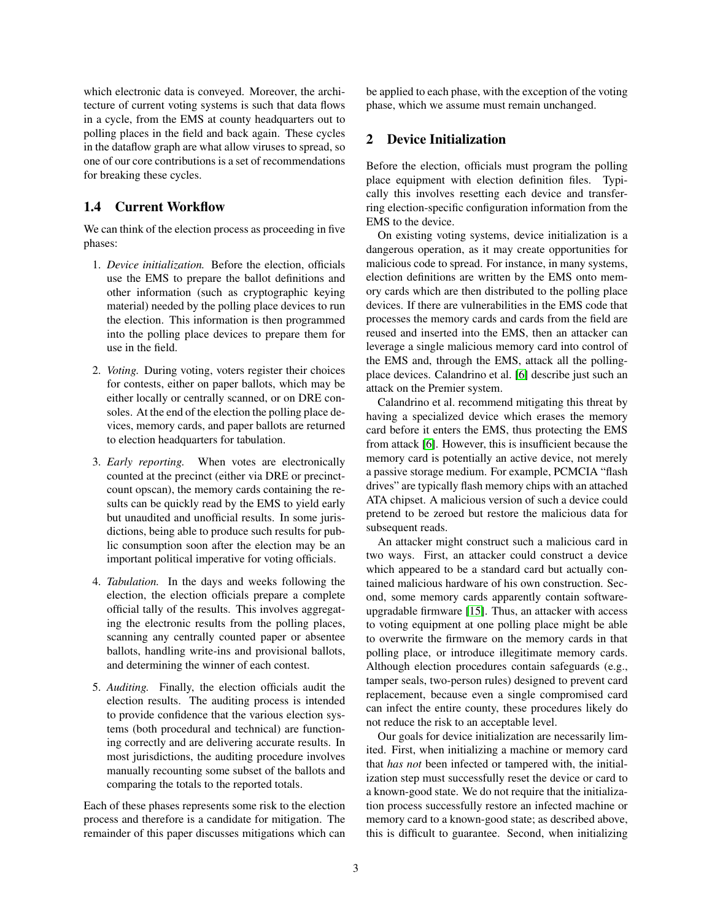which electronic data is conveyed. Moreover, the architecture of current voting systems is such that data flows in a cycle, from the EMS at county headquarters out to polling places in the field and back again. These cycles in the dataflow graph are what allow viruses to spread, so one of our core contributions is a set of recommendations for breaking these cycles.

# 1.4 Current Workflow

We can think of the election process as proceeding in five phases:

- 1. *Device initialization.* Before the election, officials use the EMS to prepare the ballot definitions and other information (such as cryptographic keying material) needed by the polling place devices to run the election. This information is then programmed into the polling place devices to prepare them for use in the field.
- 2. *Voting.* During voting, voters register their choices for contests, either on paper ballots, which may be either locally or centrally scanned, or on DRE consoles. At the end of the election the polling place devices, memory cards, and paper ballots are returned to election headquarters for tabulation.
- 3. *Early reporting.* When votes are electronically counted at the precinct (either via DRE or precinctcount opscan), the memory cards containing the results can be quickly read by the EMS to yield early but unaudited and unofficial results. In some jurisdictions, being able to produce such results for public consumption soon after the election may be an important political imperative for voting officials.
- 4. *Tabulation.* In the days and weeks following the election, the election officials prepare a complete official tally of the results. This involves aggregating the electronic results from the polling places, scanning any centrally counted paper or absentee ballots, handling write-ins and provisional ballots, and determining the winner of each contest.
- 5. *Auditing.* Finally, the election officials audit the election results. The auditing process is intended to provide confidence that the various election systems (both procedural and technical) are functioning correctly and are delivering accurate results. In most jurisdictions, the auditing procedure involves manually recounting some subset of the ballots and comparing the totals to the reported totals.

Each of these phases represents some risk to the election process and therefore is a candidate for mitigation. The remainder of this paper discusses mitigations which can be applied to each phase, with the exception of the voting phase, which we assume must remain unchanged.

#### <span id="page-2-0"></span>2 Device Initialization

Before the election, officials must program the polling place equipment with election definition files. Typically this involves resetting each device and transferring election-specific configuration information from the EMS to the device.

On existing voting systems, device initialization is a dangerous operation, as it may create opportunities for malicious code to spread. For instance, in many systems, election definitions are written by the EMS onto memory cards which are then distributed to the polling place devices. If there are vulnerabilities in the EMS code that processes the memory cards and cards from the field are reused and inserted into the EMS, then an attacker can leverage a single malicious memory card into control of the EMS and, through the EMS, attack all the pollingplace devices. Calandrino et al. [\[6\]](#page-13-2) describe just such an attack on the Premier system.

Calandrino et al. recommend mitigating this threat by having a specialized device which erases the memory card before it enters the EMS, thus protecting the EMS from attack [\[6\]](#page-13-2). However, this is insufficient because the memory card is potentially an active device, not merely a passive storage medium. For example, PCMCIA "flash drives" are typically flash memory chips with an attached ATA chipset. A malicious version of such a device could pretend to be zeroed but restore the malicious data for subsequent reads.

An attacker might construct such a malicious card in two ways. First, an attacker could construct a device which appeared to be a standard card but actually contained malicious hardware of his own construction. Second, some memory cards apparently contain softwareupgradable firmware [\[15\]](#page-13-3). Thus, an attacker with access to voting equipment at one polling place might be able to overwrite the firmware on the memory cards in that polling place, or introduce illegitimate memory cards. Although election procedures contain safeguards (e.g., tamper seals, two-person rules) designed to prevent card replacement, because even a single compromised card can infect the entire county, these procedures likely do not reduce the risk to an acceptable level.

Our goals for device initialization are necessarily limited. First, when initializing a machine or memory card that *has not* been infected or tampered with, the initialization step must successfully reset the device or card to a known-good state. We do not require that the initialization process successfully restore an infected machine or memory card to a known-good state; as described above, this is difficult to guarantee. Second, when initializing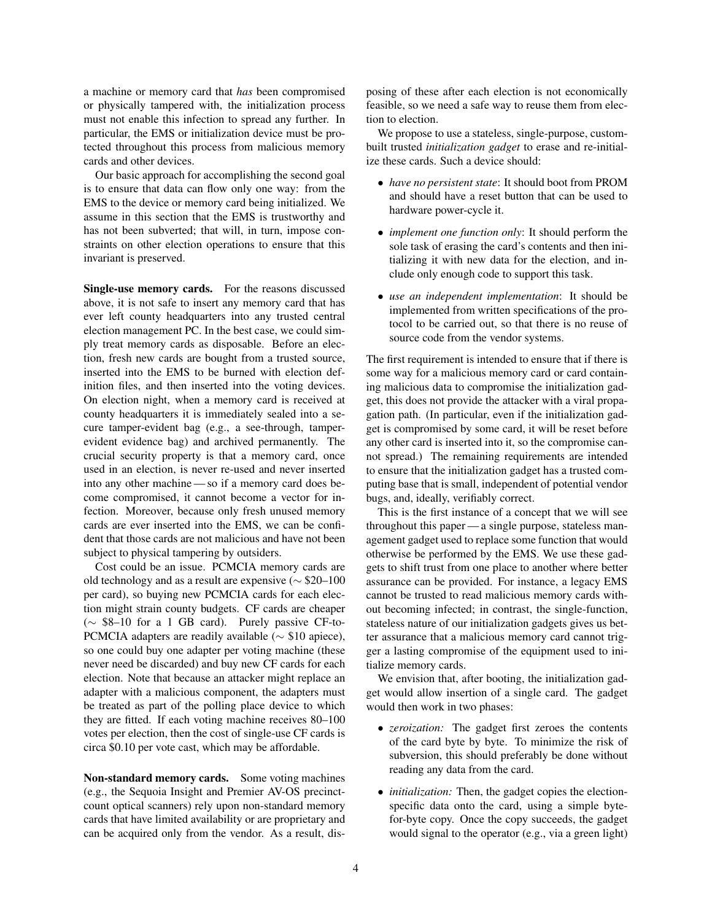a machine or memory card that *has* been compromised or physically tampered with, the initialization process must not enable this infection to spread any further. In particular, the EMS or initialization device must be protected throughout this process from malicious memory cards and other devices.

Our basic approach for accomplishing the second goal is to ensure that data can flow only one way: from the EMS to the device or memory card being initialized. We assume in this section that the EMS is trustworthy and has not been subverted; that will, in turn, impose constraints on other election operations to ensure that this invariant is preserved.

Single-use memory cards. For the reasons discussed above, it is not safe to insert any memory card that has ever left county headquarters into any trusted central election management PC. In the best case, we could simply treat memory cards as disposable. Before an election, fresh new cards are bought from a trusted source, inserted into the EMS to be burned with election definition files, and then inserted into the voting devices. On election night, when a memory card is received at county headquarters it is immediately sealed into a secure tamper-evident bag (e.g., a see-through, tamperevident evidence bag) and archived permanently. The crucial security property is that a memory card, once used in an election, is never re-used and never inserted into any other machine — so if a memory card does become compromised, it cannot become a vector for infection. Moreover, because only fresh unused memory cards are ever inserted into the EMS, we can be confident that those cards are not malicious and have not been subject to physical tampering by outsiders.

Cost could be an issue. PCMCIA memory cards are old technology and as a result are expensive (∼ \$20–100 per card), so buying new PCMCIA cards for each election might strain county budgets. CF cards are cheaper (∼ \$8–10 for a 1 GB card). Purely passive CF-to-PCMCIA adapters are readily available ( $\sim$  \$10 apiece), so one could buy one adapter per voting machine (these never need be discarded) and buy new CF cards for each election. Note that because an attacker might replace an adapter with a malicious component, the adapters must be treated as part of the polling place device to which they are fitted. If each voting machine receives 80–100 votes per election, then the cost of single-use CF cards is circa \$0.10 per vote cast, which may be affordable.

<span id="page-3-0"></span>Non-standard memory cards. Some voting machines (e.g., the Sequoia Insight and Premier AV-OS precinctcount optical scanners) rely upon non-standard memory cards that have limited availability or are proprietary and can be acquired only from the vendor. As a result, disposing of these after each election is not economically feasible, so we need a safe way to reuse them from election to election.

We propose to use a stateless, single-purpose, custombuilt trusted *initialization gadget* to erase and re-initialize these cards. Such a device should:

- *have no persistent state*: It should boot from PROM and should have a reset button that can be used to hardware power-cycle it.
- *implement one function only*: It should perform the sole task of erasing the card's contents and then initializing it with new data for the election, and include only enough code to support this task.
- *use an independent implementation*: It should be implemented from written specifications of the protocol to be carried out, so that there is no reuse of source code from the vendor systems.

The first requirement is intended to ensure that if there is some way for a malicious memory card or card containing malicious data to compromise the initialization gadget, this does not provide the attacker with a viral propagation path. (In particular, even if the initialization gadget is compromised by some card, it will be reset before any other card is inserted into it, so the compromise cannot spread.) The remaining requirements are intended to ensure that the initialization gadget has a trusted computing base that is small, independent of potential vendor bugs, and, ideally, verifiably correct.

This is the first instance of a concept that we will see throughout this paper — a single purpose, stateless management gadget used to replace some function that would otherwise be performed by the EMS. We use these gadgets to shift trust from one place to another where better assurance can be provided. For instance, a legacy EMS cannot be trusted to read malicious memory cards without becoming infected; in contrast, the single-function, stateless nature of our initialization gadgets gives us better assurance that a malicious memory card cannot trigger a lasting compromise of the equipment used to initialize memory cards.

We envision that, after booting, the initialization gadget would allow insertion of a single card. The gadget would then work in two phases:

- *zeroization:* The gadget first zeroes the contents of the card byte by byte. To minimize the risk of subversion, this should preferably be done without reading any data from the card.
- *initialization:* Then, the gadget copies the electionspecific data onto the card, using a simple bytefor-byte copy. Once the copy succeeds, the gadget would signal to the operator (e.g., via a green light)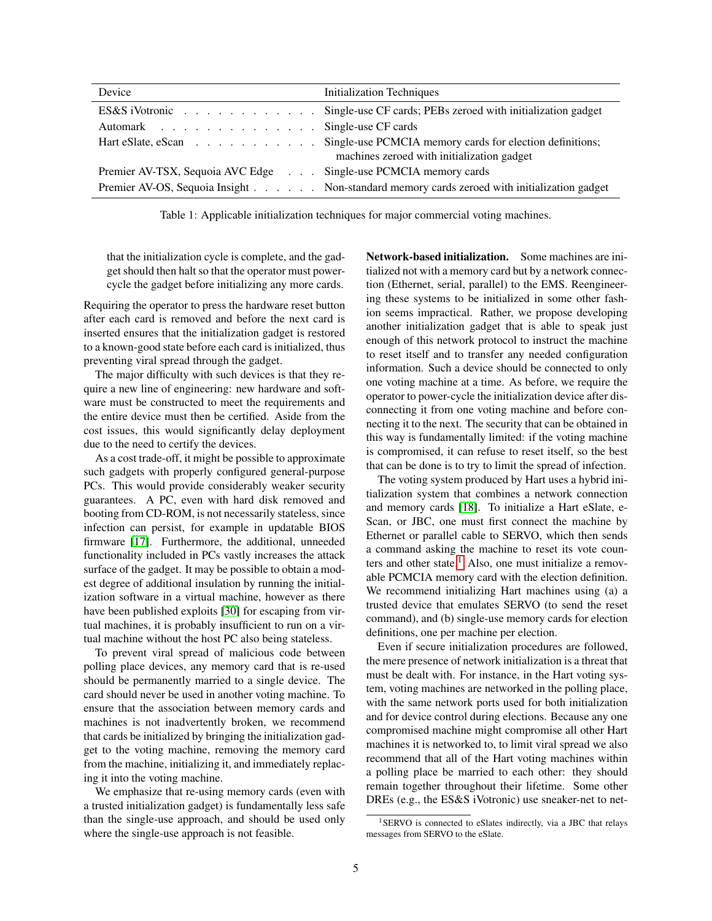| Device                                                          | <b>Initialization Techniques</b>                                                                                          |  |
|-----------------------------------------------------------------|---------------------------------------------------------------------------------------------------------------------------|--|
|                                                                 | ES&S iVotronic Single-use CF cards; PEBs zeroed with initialization gadget                                                |  |
| Automark Single-use CF cards                                    |                                                                                                                           |  |
|                                                                 | Hart eSlate, eScan Single-use PCMCIA memory cards for election definitions;<br>machines zeroed with initialization gadget |  |
| Premier AV-TSX, Sequoia AVC Edge Single-use PCMCIA memory cards |                                                                                                                           |  |
|                                                                 | Premier AV-OS, Sequoia Insight Non-standard memory cards zeroed with initialization gadget                                |  |

Table 1: Applicable initialization techniques for major commercial voting machines.

that the initialization cycle is complete, and the gadget should then halt so that the operator must powercycle the gadget before initializing any more cards.

Requiring the operator to press the hardware reset button after each card is removed and before the next card is inserted ensures that the initialization gadget is restored to a known-good state before each card is initialized, thus preventing viral spread through the gadget.

The major difficulty with such devices is that they require a new line of engineering: new hardware and software must be constructed to meet the requirements and the entire device must then be certified. Aside from the cost issues, this would significantly delay deployment due to the need to certify the devices.

As a cost trade-off, it might be possible to approximate such gadgets with properly configured general-purpose PCs. This would provide considerably weaker security guarantees. A PC, even with hard disk removed and booting from CD-ROM, is not necessarily stateless, since infection can persist, for example in updatable BIOS firmware [\[17\]](#page-13-4). Furthermore, the additional, unneeded functionality included in PCs vastly increases the attack surface of the gadget. It may be possible to obtain a modest degree of additional insulation by running the initialization software in a virtual machine, however as there have been published exploits [\[30\]](#page-13-5) for escaping from virtual machines, it is probably insufficient to run on a virtual machine without the host PC also being stateless.

To prevent viral spread of malicious code between polling place devices, any memory card that is re-used should be permanently married to a single device. The card should never be used in another voting machine. To ensure that the association between memory cards and machines is not inadvertently broken, we recommend that cards be initialized by bringing the initialization gadget to the voting machine, removing the memory card from the machine, initializing it, and immediately replacing it into the voting machine.

We emphasize that re-using memory cards (even with a trusted initialization gadget) is fundamentally less safe than the single-use approach, and should be used only where the single-use approach is not feasible.

Network-based initialization. Some machines are initialized not with a memory card but by a network connection (Ethernet, serial, parallel) to the EMS. Reengineering these systems to be initialized in some other fashion seems impractical. Rather, we propose developing another initialization gadget that is able to speak just enough of this network protocol to instruct the machine to reset itself and to transfer any needed configuration information. Such a device should be connected to only one voting machine at a time. As before, we require the operator to power-cycle the initialization device after disconnecting it from one voting machine and before connecting it to the next. The security that can be obtained in this way is fundamentally limited: if the voting machine is compromised, it can refuse to reset itself, so the best that can be done is to try to limit the spread of infection.

The voting system produced by Hart uses a hybrid initialization system that combines a network connection and memory cards [\[18\]](#page-13-6). To initialize a Hart eSlate, e-Scan, or JBC, one must first connect the machine by Ethernet or parallel cable to SERVO, which then sends a command asking the machine to reset its vote coun-ters and other state.<sup>[1](#page-4-0)</sup> Also, one must initialize a removable PCMCIA memory card with the election definition. We recommend initializing Hart machines using (a) a trusted device that emulates SERVO (to send the reset command), and (b) single-use memory cards for election definitions, one per machine per election.

Even if secure initialization procedures are followed, the mere presence of network initialization is a threat that must be dealt with. For instance, in the Hart voting system, voting machines are networked in the polling place, with the same network ports used for both initialization and for device control during elections. Because any one compromised machine might compromise all other Hart machines it is networked to, to limit viral spread we also recommend that all of the Hart voting machines within a polling place be married to each other: they should remain together throughout their lifetime. Some other DREs (e.g., the ES&S iVotronic) use sneaker-net to net-

<span id="page-4-0"></span><sup>&</sup>lt;sup>1</sup>SERVO is connected to eSlates indirectly, via a JBC that relays messages from SERVO to the eSlate.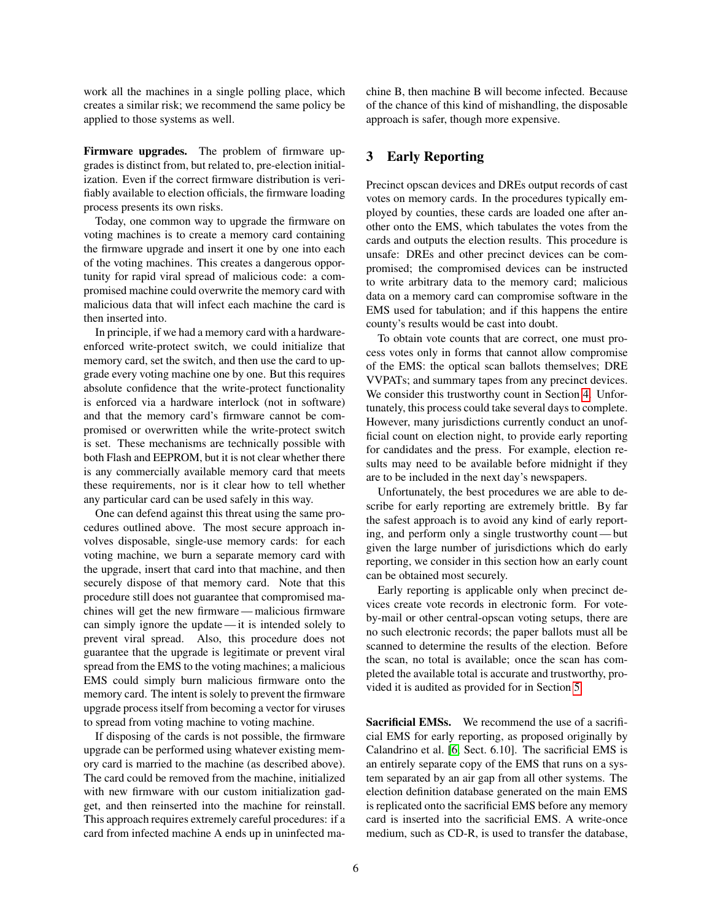work all the machines in a single polling place, which creates a similar risk; we recommend the same policy be applied to those systems as well.

Firmware upgrades. The problem of firmware upgrades is distinct from, but related to, pre-election initialization. Even if the correct firmware distribution is verifiably available to election officials, the firmware loading process presents its own risks.

Today, one common way to upgrade the firmware on voting machines is to create a memory card containing the firmware upgrade and insert it one by one into each of the voting machines. This creates a dangerous opportunity for rapid viral spread of malicious code: a compromised machine could overwrite the memory card with malicious data that will infect each machine the card is then inserted into.

In principle, if we had a memory card with a hardwareenforced write-protect switch, we could initialize that memory card, set the switch, and then use the card to upgrade every voting machine one by one. But this requires absolute confidence that the write-protect functionality is enforced via a hardware interlock (not in software) and that the memory card's firmware cannot be compromised or overwritten while the write-protect switch is set. These mechanisms are technically possible with both Flash and EEPROM, but it is not clear whether there is any commercially available memory card that meets these requirements, nor is it clear how to tell whether any particular card can be used safely in this way.

One can defend against this threat using the same procedures outlined above. The most secure approach involves disposable, single-use memory cards: for each voting machine, we burn a separate memory card with the upgrade, insert that card into that machine, and then securely dispose of that memory card. Note that this procedure still does not guarantee that compromised machines will get the new firmware — malicious firmware can simply ignore the update— it is intended solely to prevent viral spread. Also, this procedure does not guarantee that the upgrade is legitimate or prevent viral spread from the EMS to the voting machines; a malicious EMS could simply burn malicious firmware onto the memory card. The intent is solely to prevent the firmware upgrade process itself from becoming a vector for viruses to spread from voting machine to voting machine.

If disposing of the cards is not possible, the firmware upgrade can be performed using whatever existing memory card is married to the machine (as described above). The card could be removed from the machine, initialized with new firmware with our custom initialization gadget, and then reinserted into the machine for reinstall. This approach requires extremely careful procedures: if a card from infected machine A ends up in uninfected machine B, then machine B will become infected. Because of the chance of this kind of mishandling, the disposable approach is safer, though more expensive.

# <span id="page-5-0"></span>3 Early Reporting

Precinct opscan devices and DREs output records of cast votes on memory cards. In the procedures typically employed by counties, these cards are loaded one after another onto the EMS, which tabulates the votes from the cards and outputs the election results. This procedure is unsafe: DREs and other precinct devices can be compromised; the compromised devices can be instructed to write arbitrary data to the memory card; malicious data on a memory card can compromise software in the EMS used for tabulation; and if this happens the entire county's results would be cast into doubt.

To obtain vote counts that are correct, one must process votes only in forms that cannot allow compromise of the EMS: the optical scan ballots themselves; DRE VVPATs; and summary tapes from any precinct devices. We consider this trustworthy count in Section [4.](#page-6-0) Unfortunately, this process could take several days to complete. However, many jurisdictions currently conduct an unofficial count on election night, to provide early reporting for candidates and the press. For example, election results may need to be available before midnight if they are to be included in the next day's newspapers.

Unfortunately, the best procedures we are able to describe for early reporting are extremely brittle. By far the safest approach is to avoid any kind of early reporting, and perform only a single trustworthy count — but given the large number of jurisdictions which do early reporting, we consider in this section how an early count can be obtained most securely.

Early reporting is applicable only when precinct devices create vote records in electronic form. For voteby-mail or other central-opscan voting setups, there are no such electronic records; the paper ballots must all be scanned to determine the results of the election. Before the scan, no total is available; once the scan has completed the available total is accurate and trustworthy, provided it is audited as provided for in Section [5.](#page-9-0)

Sacrificial EMSs. We recommend the use of a sacrificial EMS for early reporting, as proposed originally by Calandrino et al. [\[6,](#page-13-2) Sect. 6.10]. The sacrificial EMS is an entirely separate copy of the EMS that runs on a system separated by an air gap from all other systems. The election definition database generated on the main EMS is replicated onto the sacrificial EMS before any memory card is inserted into the sacrificial EMS. A write-once medium, such as CD-R, is used to transfer the database,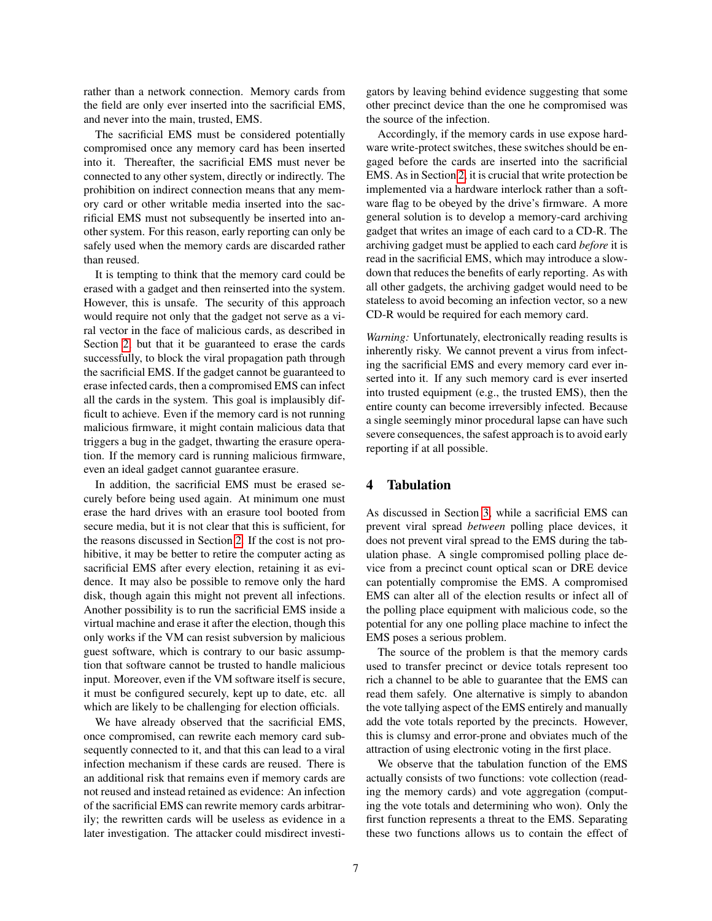rather than a network connection. Memory cards from the field are only ever inserted into the sacrificial EMS, and never into the main, trusted, EMS.

The sacrificial EMS must be considered potentially compromised once any memory card has been inserted into it. Thereafter, the sacrificial EMS must never be connected to any other system, directly or indirectly. The prohibition on indirect connection means that any memory card or other writable media inserted into the sacrificial EMS must not subsequently be inserted into another system. For this reason, early reporting can only be safely used when the memory cards are discarded rather than reused.

It is tempting to think that the memory card could be erased with a gadget and then reinserted into the system. However, this is unsafe. The security of this approach would require not only that the gadget not serve as a viral vector in the face of malicious cards, as described in Section [2,](#page-3-0) but that it be guaranteed to erase the cards successfully, to block the viral propagation path through the sacrificial EMS. If the gadget cannot be guaranteed to erase infected cards, then a compromised EMS can infect all the cards in the system. This goal is implausibly difficult to achieve. Even if the memory card is not running malicious firmware, it might contain malicious data that triggers a bug in the gadget, thwarting the erasure operation. If the memory card is running malicious firmware, even an ideal gadget cannot guarantee erasure.

In addition, the sacrificial EMS must be erased securely before being used again. At minimum one must erase the hard drives with an erasure tool booted from secure media, but it is not clear that this is sufficient, for the reasons discussed in Section [2.](#page-3-0) If the cost is not prohibitive, it may be better to retire the computer acting as sacrificial EMS after every election, retaining it as evidence. It may also be possible to remove only the hard disk, though again this might not prevent all infections. Another possibility is to run the sacrificial EMS inside a virtual machine and erase it after the election, though this only works if the VM can resist subversion by malicious guest software, which is contrary to our basic assumption that software cannot be trusted to handle malicious input. Moreover, even if the VM software itself is secure, it must be configured securely, kept up to date, etc. all which are likely to be challenging for election officials.

We have already observed that the sacrificial EMS, once compromised, can rewrite each memory card subsequently connected to it, and that this can lead to a viral infection mechanism if these cards are reused. There is an additional risk that remains even if memory cards are not reused and instead retained as evidence: An infection of the sacrificial EMS can rewrite memory cards arbitrarily; the rewritten cards will be useless as evidence in a later investigation. The attacker could misdirect investigators by leaving behind evidence suggesting that some other precinct device than the one he compromised was the source of the infection.

Accordingly, if the memory cards in use expose hardware write-protect switches, these switches should be engaged before the cards are inserted into the sacrificial EMS. As in Section [2,](#page-3-0) it is crucial that write protection be implemented via a hardware interlock rather than a software flag to be obeyed by the drive's firmware. A more general solution is to develop a memory-card archiving gadget that writes an image of each card to a CD-R. The archiving gadget must be applied to each card *before* it is read in the sacrificial EMS, which may introduce a slowdown that reduces the benefits of early reporting. As with all other gadgets, the archiving gadget would need to be stateless to avoid becoming an infection vector, so a new CD-R would be required for each memory card.

*Warning:* Unfortunately, electronically reading results is inherently risky. We cannot prevent a virus from infecting the sacrificial EMS and every memory card ever inserted into it. If any such memory card is ever inserted into trusted equipment (e.g., the trusted EMS), then the entire county can become irreversibly infected. Because a single seemingly minor procedural lapse can have such severe consequences, the safest approach is to avoid early reporting if at all possible.

#### <span id="page-6-0"></span>4 Tabulation

As discussed in Section [3,](#page-5-0) while a sacrificial EMS can prevent viral spread *between* polling place devices, it does not prevent viral spread to the EMS during the tabulation phase. A single compromised polling place device from a precinct count optical scan or DRE device can potentially compromise the EMS. A compromised EMS can alter all of the election results or infect all of the polling place equipment with malicious code, so the potential for any one polling place machine to infect the EMS poses a serious problem.

The source of the problem is that the memory cards used to transfer precinct or device totals represent too rich a channel to be able to guarantee that the EMS can read them safely. One alternative is simply to abandon the vote tallying aspect of the EMS entirely and manually add the vote totals reported by the precincts. However, this is clumsy and error-prone and obviates much of the attraction of using electronic voting in the first place.

We observe that the tabulation function of the EMS actually consists of two functions: vote collection (reading the memory cards) and vote aggregation (computing the vote totals and determining who won). Only the first function represents a threat to the EMS. Separating these two functions allows us to contain the effect of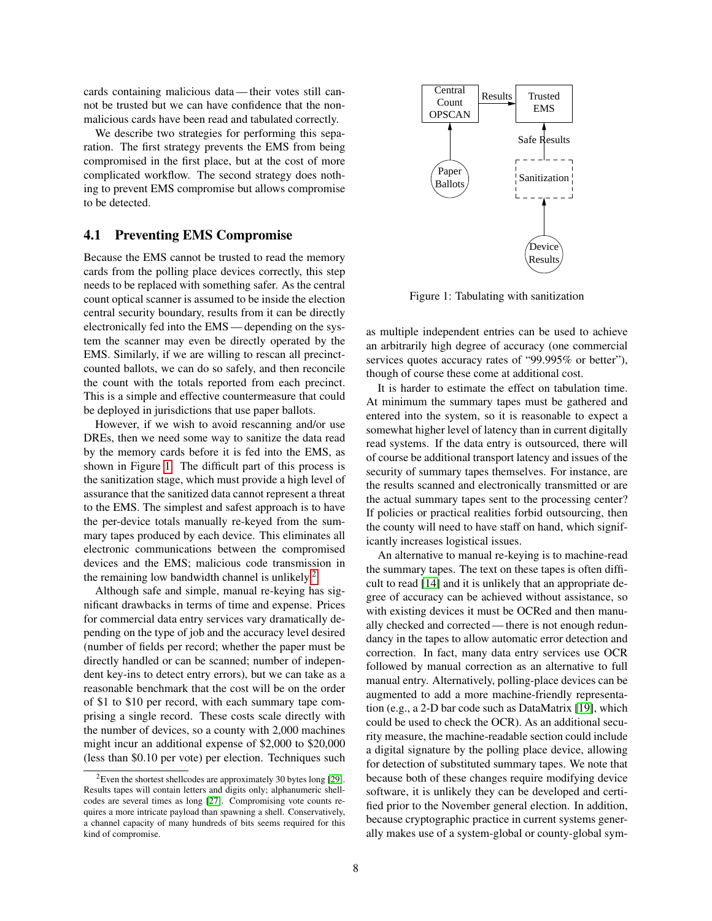cards containing malicious data — their votes still cannot be trusted but we can have confidence that the nonmalicious cards have been read and tabulated correctly.

We describe two strategies for performing this separation. The first strategy prevents the EMS from being compromised in the first place, but at the cost of more complicated workflow. The second strategy does nothing to prevent EMS compromise but allows compromise to be detected.

#### <span id="page-7-2"></span>4.1 Preventing EMS Compromise

Because the EMS cannot be trusted to read the memory cards from the polling place devices correctly, this step needs to be replaced with something safer. As the central count optical scanner is assumed to be inside the election central security boundary, results from it can be directly electronically fed into the EMS — depending on the system the scanner may even be directly operated by the EMS. Similarly, if we are willing to rescan all precinctcounted ballots, we can do so safely, and then reconcile the count with the totals reported from each precinct. This is a simple and effective countermeasure that could be deployed in jurisdictions that use paper ballots.

However, if we wish to avoid rescanning and/or use DREs, then we need some way to sanitize the data read by the memory cards before it is fed into the EMS, as shown in Figure [1.](#page-7-0) The difficult part of this process is the sanitization stage, which must provide a high level of assurance that the sanitized data cannot represent a threat to the EMS. The simplest and safest approach is to have the per-device totals manually re-keyed from the summary tapes produced by each device. This eliminates all electronic communications between the compromised devices and the EMS; malicious code transmission in the remaining low bandwidth channel is unlikely.<sup>[2](#page-7-1)</sup>

Although safe and simple, manual re-keying has significant drawbacks in terms of time and expense. Prices for commercial data entry services vary dramatically depending on the type of job and the accuracy level desired (number of fields per record; whether the paper must be directly handled or can be scanned; number of independent key-ins to detect entry errors), but we can take as a reasonable benchmark that the cost will be on the order of \$1 to \$10 per record, with each summary tape comprising a single record. These costs scale directly with the number of devices, so a county with 2,000 machines might incur an additional expense of \$2,000 to \$20,000 (less than \$0.10 per vote) per election. Techniques such



<span id="page-7-0"></span>Figure 1: Tabulating with sanitization

as multiple independent entries can be used to achieve an arbitrarily high degree of accuracy (one commercial services quotes accuracy rates of "99.995% or better"), though of course these come at additional cost.

It is harder to estimate the effect on tabulation time. At minimum the summary tapes must be gathered and entered into the system, so it is reasonable to expect a somewhat higher level of latency than in current digitally read systems. If the data entry is outsourced, there will of course be additional transport latency and issues of the security of summary tapes themselves. For instance, are the results scanned and electronically transmitted or are the actual summary tapes sent to the processing center? If policies or practical realities forbid outsourcing, then the county will need to have staff on hand, which significantly increases logistical issues.

An alternative to manual re-keying is to machine-read the summary tapes. The text on these tapes is often difficult to read [\[14\]](#page-13-9) and it is unlikely that an appropriate degree of accuracy can be achieved without assistance, so with existing devices it must be OCRed and then manually checked and corrected — there is not enough redundancy in the tapes to allow automatic error detection and correction. In fact, many data entry services use OCR followed by manual correction as an alternative to full manual entry. Alternatively, polling-place devices can be augmented to add a more machine-friendly representation (e.g., a 2-D bar code such as DataMatrix [\[19\]](#page-13-10), which could be used to check the OCR). As an additional security measure, the machine-readable section could include a digital signature by the polling place device, allowing for detection of substituted summary tapes. We note that because both of these changes require modifying device software, it is unlikely they can be developed and certified prior to the November general election. In addition, because cryptographic practice in current systems generally makes use of a system-global or county-global sym-

<span id="page-7-1"></span> $2^2$ Even the shortest shellcodes are approximately 30 bytes long [\[29\]](#page-13-7). Results tapes will contain letters and digits only; alphanumeric shellcodes are several times as long [\[27\]](#page-13-8). Compromising vote counts requires a more intricate payload than spawning a shell. Conservatively, a channel capacity of many hundreds of bits seems required for this kind of compromise.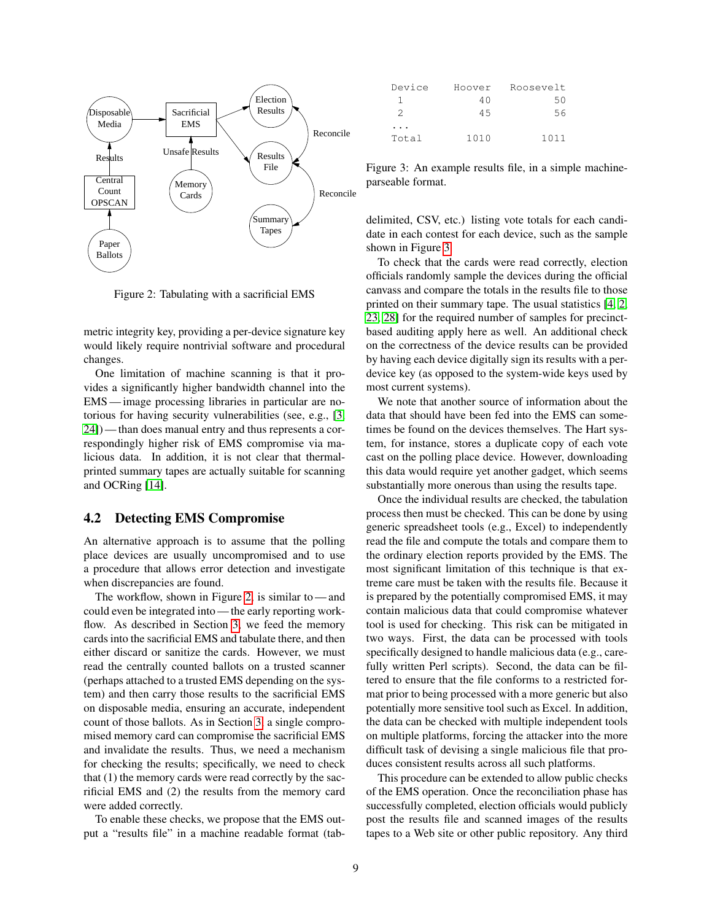

<span id="page-8-0"></span>Figure 2: Tabulating with a sacrificial EMS

metric integrity key, providing a per-device signature key would likely require nontrivial software and procedural changes.

One limitation of machine scanning is that it provides a significantly higher bandwidth channel into the EMS — image processing libraries in particular are notorious for having security vulnerabilities (see, e.g., [\[3,](#page-13-11) [24\]](#page-13-12)) — than does manual entry and thus represents a correspondingly higher risk of EMS compromise via malicious data. In addition, it is not clear that thermalprinted summary tapes are actually suitable for scanning and OCRing [\[14\]](#page-13-9).

#### 4.2 Detecting EMS Compromise

An alternative approach is to assume that the polling place devices are usually uncompromised and to use a procedure that allows error detection and investigate when discrepancies are found.

The workflow, shown in Figure [2,](#page-8-0) is similar to — and could even be integrated into — the early reporting workflow. As described in Section [3,](#page-5-0) we feed the memory cards into the sacrificial EMS and tabulate there, and then either discard or sanitize the cards. However, we must read the centrally counted ballots on a trusted scanner (perhaps attached to a trusted EMS depending on the system) and then carry those results to the sacrificial EMS on disposable media, ensuring an accurate, independent count of those ballots. As in Section [3,](#page-5-0) a single compromised memory card can compromise the sacrificial EMS and invalidate the results. Thus, we need a mechanism for checking the results; specifically, we need to check that (1) the memory cards were read correctly by the sacrificial EMS and (2) the results from the memory card were added correctly.

To enable these checks, we propose that the EMS output a "results file" in a machine readable format (tab-

| Device | Hoover | Roosevelt |
|--------|--------|-----------|
|        | 40     | 50        |
| 2      | 45     | 56        |
|        |        |           |
| Total  | 1010   | 1011      |

<span id="page-8-1"></span>Figure 3: An example results file, in a simple machineparseable format.

delimited, CSV, etc.) listing vote totals for each candidate in each contest for each device, such as the sample shown in Figure [3.](#page-8-1)

To check that the cards were read correctly, election officials randomly sample the devices during the official canvass and compare the totals in the results file to those printed on their summary tape. The usual statistics [\[4,](#page-13-13) [2,](#page-13-14) [23,](#page-13-15) [28\]](#page-13-16) for the required number of samples for precinctbased auditing apply here as well. An additional check on the correctness of the device results can be provided by having each device digitally sign its results with a perdevice key (as opposed to the system-wide keys used by most current systems).

We note that another source of information about the data that should have been fed into the EMS can sometimes be found on the devices themselves. The Hart system, for instance, stores a duplicate copy of each vote cast on the polling place device. However, downloading this data would require yet another gadget, which seems substantially more onerous than using the results tape.

Once the individual results are checked, the tabulation process then must be checked. This can be done by using generic spreadsheet tools (e.g., Excel) to independently read the file and compute the totals and compare them to the ordinary election reports provided by the EMS. The most significant limitation of this technique is that extreme care must be taken with the results file. Because it is prepared by the potentially compromised EMS, it may contain malicious data that could compromise whatever tool is used for checking. This risk can be mitigated in two ways. First, the data can be processed with tools specifically designed to handle malicious data (e.g., carefully written Perl scripts). Second, the data can be filtered to ensure that the file conforms to a restricted format prior to being processed with a more generic but also potentially more sensitive tool such as Excel. In addition, the data can be checked with multiple independent tools on multiple platforms, forcing the attacker into the more difficult task of devising a single malicious file that produces consistent results across all such platforms.

This procedure can be extended to allow public checks of the EMS operation. Once the reconciliation phase has successfully completed, election officials would publicly post the results file and scanned images of the results tapes to a Web site or other public repository. Any third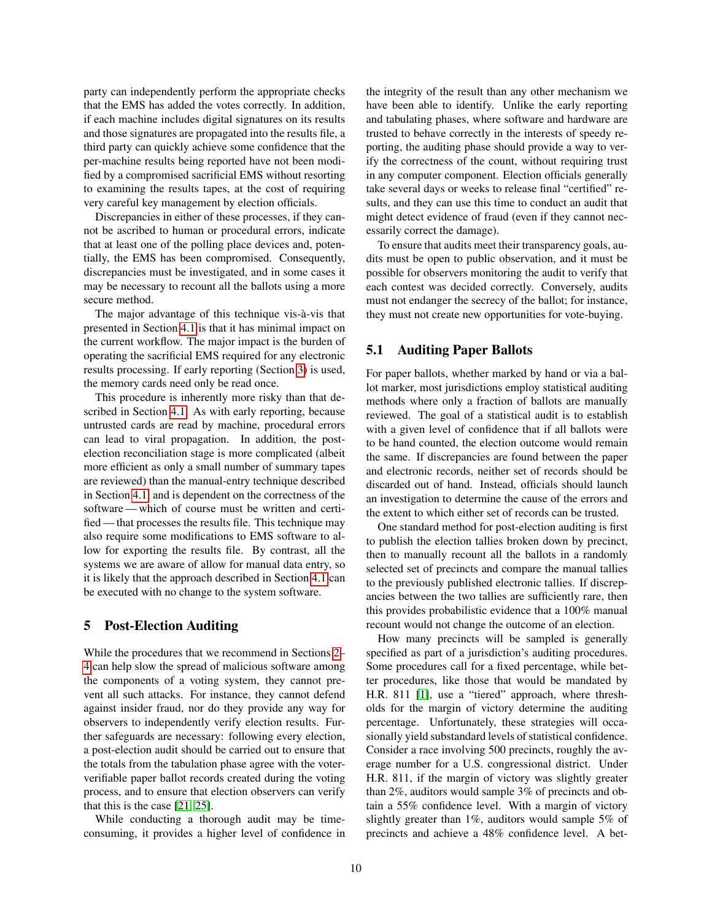party can independently perform the appropriate checks that the EMS has added the votes correctly. In addition, if each machine includes digital signatures on its results and those signatures are propagated into the results file, a third party can quickly achieve some confidence that the per-machine results being reported have not been modified by a compromised sacrificial EMS without resorting to examining the results tapes, at the cost of requiring very careful key management by election officials.

Discrepancies in either of these processes, if they cannot be ascribed to human or procedural errors, indicate that at least one of the polling place devices and, potentially, the EMS has been compromised. Consequently, discrepancies must be investigated, and in some cases it may be necessary to recount all the ballots using a more secure method.

The major advantage of this technique vis-à-vis that presented in Section [4.1](#page-7-2) is that it has minimal impact on the current workflow. The major impact is the burden of operating the sacrificial EMS required for any electronic results processing. If early reporting (Section [3\)](#page-5-0) is used, the memory cards need only be read once.

This procedure is inherently more risky than that described in Section [4.1.](#page-7-2) As with early reporting, because untrusted cards are read by machine, procedural errors can lead to viral propagation. In addition, the postelection reconciliation stage is more complicated (albeit more efficient as only a small number of summary tapes are reviewed) than the manual-entry technique described in Section [4.1,](#page-7-2) and is dependent on the correctness of the software — which of course must be written and certified — that processes the results file. This technique may also require some modifications to EMS software to allow for exporting the results file. By contrast, all the systems we are aware of allow for manual data entry, so it is likely that the approach described in Section [4.1](#page-7-2) can be executed with no change to the system software.

#### <span id="page-9-0"></span>5 Post-Election Auditing

While the procedures that we recommend in Sections [2–](#page-3-0) [4](#page-6-0) can help slow the spread of malicious software among the components of a voting system, they cannot prevent all such attacks. For instance, they cannot defend against insider fraud, nor do they provide any way for observers to independently verify election results. Further safeguards are necessary: following every election, a post-election audit should be carried out to ensure that the totals from the tabulation phase agree with the voterverifiable paper ballot records created during the voting process, and to ensure that election observers can verify that this is the case [\[21,](#page-13-17) [25\]](#page-13-18).

While conducting a thorough audit may be timeconsuming, it provides a higher level of confidence in the integrity of the result than any other mechanism we have been able to identify. Unlike the early reporting and tabulating phases, where software and hardware are trusted to behave correctly in the interests of speedy reporting, the auditing phase should provide a way to verify the correctness of the count, without requiring trust in any computer component. Election officials generally take several days or weeks to release final "certified" results, and they can use this time to conduct an audit that might detect evidence of fraud (even if they cannot necessarily correct the damage).

To ensure that audits meet their transparency goals, audits must be open to public observation, and it must be possible for observers monitoring the audit to verify that each contest was decided correctly. Conversely, audits must not endanger the secrecy of the ballot; for instance, they must not create new opportunities for vote-buying.

#### 5.1 Auditing Paper Ballots

For paper ballots, whether marked by hand or via a ballot marker, most jurisdictions employ statistical auditing methods where only a fraction of ballots are manually reviewed. The goal of a statistical audit is to establish with a given level of confidence that if all ballots were to be hand counted, the election outcome would remain the same. If discrepancies are found between the paper and electronic records, neither set of records should be discarded out of hand. Instead, officials should launch an investigation to determine the cause of the errors and the extent to which either set of records can be trusted.

One standard method for post-election auditing is first to publish the election tallies broken down by precinct, then to manually recount all the ballots in a randomly selected set of precincts and compare the manual tallies to the previously published electronic tallies. If discrepancies between the two tallies are sufficiently rare, then this provides probabilistic evidence that a 100% manual recount would not change the outcome of an election.

How many precincts will be sampled is generally specified as part of a jurisdiction's auditing procedures. Some procedures call for a fixed percentage, while better procedures, like those that would be mandated by H.R. 811 [\[1\]](#page-13-19), use a "tiered" approach, where thresholds for the margin of victory determine the auditing percentage. Unfortunately, these strategies will occasionally yield substandard levels of statistical confidence. Consider a race involving 500 precincts, roughly the average number for a U.S. congressional district. Under H.R. 811, if the margin of victory was slightly greater than 2%, auditors would sample 3% of precincts and obtain a 55% confidence level. With a margin of victory slightly greater than 1%, auditors would sample 5% of precincts and achieve a 48% confidence level. A bet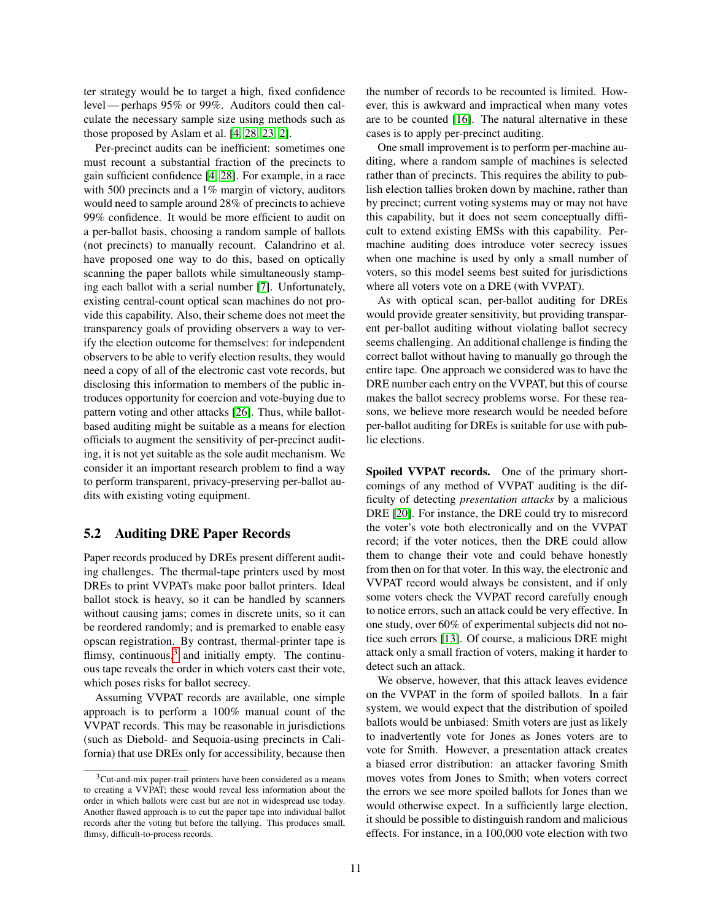ter strategy would be to target a high, fixed confidence level — perhaps 95% or 99%. Auditors could then calculate the necessary sample size using methods such as those proposed by Aslam et al. [\[4,](#page-13-13) [28,](#page-13-16) [23,](#page-13-15) [2\]](#page-13-14).

Per-precinct audits can be inefficient: sometimes one must recount a substantial fraction of the precincts to gain sufficient confidence [\[4,](#page-13-13) [28\]](#page-13-16). For example, in a race with 500 precincts and a 1% margin of victory, auditors would need to sample around 28% of precincts to achieve 99% confidence. It would be more efficient to audit on a per-ballot basis, choosing a random sample of ballots (not precincts) to manually recount. Calandrino et al. have proposed one way to do this, based on optically scanning the paper ballots while simultaneously stamping each ballot with a serial number [\[7\]](#page-13-20). Unfortunately, existing central-count optical scan machines do not provide this capability. Also, their scheme does not meet the transparency goals of providing observers a way to verify the election outcome for themselves: for independent observers to be able to verify election results, they would need a copy of all of the electronic cast vote records, but disclosing this information to members of the public introduces opportunity for coercion and vote-buying due to pattern voting and other attacks [\[26\]](#page-13-21). Thus, while ballotbased auditing might be suitable as a means for election officials to augment the sensitivity of per-precinct auditing, it is not yet suitable as the sole audit mechanism. We consider it an important research problem to find a way to perform transparent, privacy-preserving per-ballot audits with existing voting equipment.

## <span id="page-10-1"></span>5.2 Auditing DRE Paper Records

Paper records produced by DREs present different auditing challenges. The thermal-tape printers used by most DREs to print VVPATs make poor ballot printers. Ideal ballot stock is heavy, so it can be handled by scanners without causing jams; comes in discrete units, so it can be reordered randomly; and is premarked to enable easy opscan registration. By contrast, thermal-printer tape is flimsy, continuous, $3$  and initially empty. The continuous tape reveals the order in which voters cast their vote, which poses risks for ballot secrecy.

Assuming VVPAT records are available, one simple approach is to perform a 100% manual count of the VVPAT records. This may be reasonable in jurisdictions (such as Diebold- and Sequoia-using precincts in California) that use DREs only for accessibility, because then the number of records to be recounted is limited. However, this is awkward and impractical when many votes are to be counted [\[16\]](#page-13-22). The natural alternative in these cases is to apply per-precinct auditing.

One small improvement is to perform per-machine auditing, where a random sample of machines is selected rather than of precincts. This requires the ability to publish election tallies broken down by machine, rather than by precinct; current voting systems may or may not have this capability, but it does not seem conceptually difficult to extend existing EMSs with this capability. Permachine auditing does introduce voter secrecy issues when one machine is used by only a small number of voters, so this model seems best suited for jurisdictions where all voters vote on a DRE (with VVPAT).

As with optical scan, per-ballot auditing for DREs would provide greater sensitivity, but providing transparent per-ballot auditing without violating ballot secrecy seems challenging. An additional challenge is finding the correct ballot without having to manually go through the entire tape. One approach we considered was to have the DRE number each entry on the VVPAT, but this of course makes the ballot secrecy problems worse. For these reasons, we believe more research would be needed before per-ballot auditing for DREs is suitable for use with public elections.

Spoiled VVPAT records. One of the primary shortcomings of any method of VVPAT auditing is the difficulty of detecting *presentation attacks* by a malicious DRE [\[20\]](#page-13-23). For instance, the DRE could try to misrecord the voter's vote both electronically and on the VVPAT record; if the voter notices, then the DRE could allow them to change their vote and could behave honestly from then on for that voter. In this way, the electronic and VVPAT record would always be consistent, and if only some voters check the VVPAT record carefully enough to notice errors, such an attack could be very effective. In one study, over 60% of experimental subjects did not notice such errors [\[13\]](#page-13-24). Of course, a malicious DRE might attack only a small fraction of voters, making it harder to detect such an attack.

We observe, however, that this attack leaves evidence on the VVPAT in the form of spoiled ballots. In a fair system, we would expect that the distribution of spoiled ballots would be unbiased: Smith voters are just as likely to inadvertently vote for Jones as Jones voters are to vote for Smith. However, a presentation attack creates a biased error distribution: an attacker favoring Smith moves votes from Jones to Smith; when voters correct the errors we see more spoiled ballots for Jones than we would otherwise expect. In a sufficiently large election, it should be possible to distinguish random and malicious effects. For instance, in a 100,000 vote election with two

<span id="page-10-0"></span> $3$ Cut-and-mix paper-trail printers have been considered as a means to creating a VVPAT; these would reveal less information about the order in which ballots were cast but are not in widespread use today. Another flawed approach is to cut the paper tape into individual ballot records after the voting but before the tallying. This produces small, flimsy, difficult-to-process records.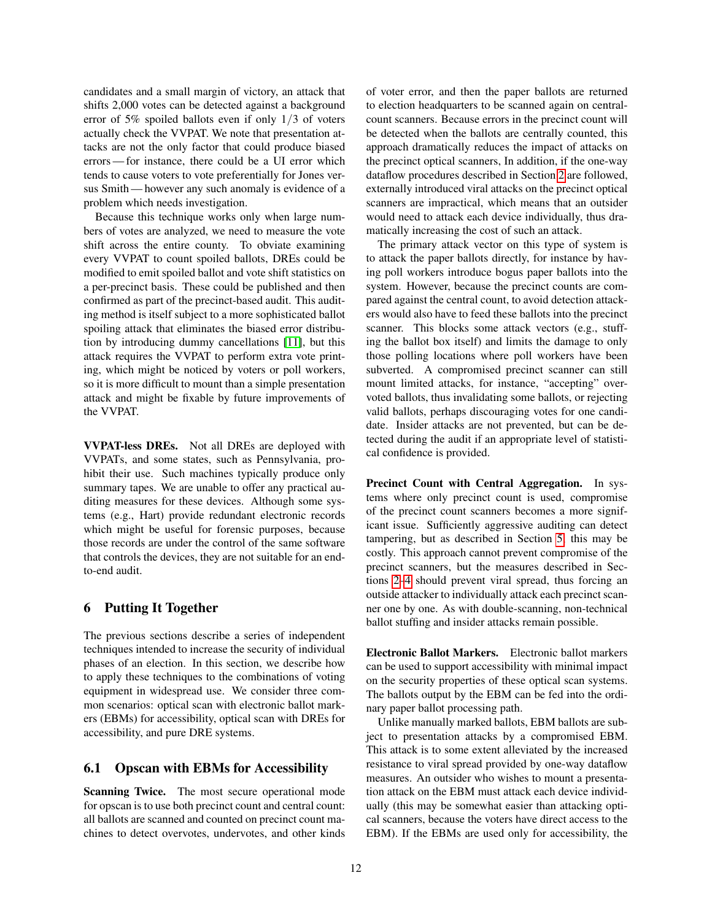candidates and a small margin of victory, an attack that shifts 2,000 votes can be detected against a background error of 5% spoiled ballots even if only 1/3 of voters actually check the VVPAT. We note that presentation attacks are not the only factor that could produce biased errors — for instance, there could be a UI error which tends to cause voters to vote preferentially for Jones versus Smith — however any such anomaly is evidence of a problem which needs investigation.

Because this technique works only when large numbers of votes are analyzed, we need to measure the vote shift across the entire county. To obviate examining every VVPAT to count spoiled ballots, DREs could be modified to emit spoiled ballot and vote shift statistics on a per-precinct basis. These could be published and then confirmed as part of the precinct-based audit. This auditing method is itself subject to a more sophisticated ballot spoiling attack that eliminates the biased error distribution by introducing dummy cancellations [\[11\]](#page-13-25), but this attack requires the VVPAT to perform extra vote printing, which might be noticed by voters or poll workers, so it is more difficult to mount than a simple presentation attack and might be fixable by future improvements of the VVPAT.

VVPAT-less DREs. Not all DREs are deployed with VVPATs, and some states, such as Pennsylvania, prohibit their use. Such machines typically produce only summary tapes. We are unable to offer any practical auditing measures for these devices. Although some systems (e.g., Hart) provide redundant electronic records which might be useful for forensic purposes, because those records are under the control of the same software that controls the devices, they are not suitable for an endto-end audit.

# 6 Putting It Together

The previous sections describe a series of independent techniques intended to increase the security of individual phases of an election. In this section, we describe how to apply these techniques to the combinations of voting equipment in widespread use. We consider three common scenarios: optical scan with electronic ballot markers (EBMs) for accessibility, optical scan with DREs for accessibility, and pure DRE systems.

#### <span id="page-11-0"></span>6.1 Opscan with EBMs for Accessibility

Scanning Twice. The most secure operational mode for opscan is to use both precinct count and central count: all ballots are scanned and counted on precinct count machines to detect overvotes, undervotes, and other kinds of voter error, and then the paper ballots are returned to election headquarters to be scanned again on centralcount scanners. Because errors in the precinct count will be detected when the ballots are centrally counted, this approach dramatically reduces the impact of attacks on the precinct optical scanners, In addition, if the one-way dataflow procedures described in Section [2](#page-2-0) are followed, externally introduced viral attacks on the precinct optical scanners are impractical, which means that an outsider would need to attack each device individually, thus dramatically increasing the cost of such an attack.

The primary attack vector on this type of system is to attack the paper ballots directly, for instance by having poll workers introduce bogus paper ballots into the system. However, because the precinct counts are compared against the central count, to avoid detection attackers would also have to feed these ballots into the precinct scanner. This blocks some attack vectors (e.g., stuffing the ballot box itself) and limits the damage to only those polling locations where poll workers have been subverted. A compromised precinct scanner can still mount limited attacks, for instance, "accepting" overvoted ballots, thus invalidating some ballots, or rejecting valid ballots, perhaps discouraging votes for one candidate. Insider attacks are not prevented, but can be detected during the audit if an appropriate level of statistical confidence is provided.

Precinct Count with Central Aggregation. In systems where only precinct count is used, compromise of the precinct count scanners becomes a more significant issue. Sufficiently aggressive auditing can detect tampering, but as described in Section [5,](#page-9-0) this may be costly. This approach cannot prevent compromise of the precinct scanners, but the measures described in Sections [2](#page-2-0)[–4](#page-6-0) should prevent viral spread, thus forcing an outside attacker to individually attack each precinct scanner one by one. As with double-scanning, non-technical ballot stuffing and insider attacks remain possible.

Electronic Ballot Markers. Electronic ballot markers can be used to support accessibility with minimal impact on the security properties of these optical scan systems. The ballots output by the EBM can be fed into the ordinary paper ballot processing path.

Unlike manually marked ballots, EBM ballots are subject to presentation attacks by a compromised EBM. This attack is to some extent alleviated by the increased resistance to viral spread provided by one-way dataflow measures. An outsider who wishes to mount a presentation attack on the EBM must attack each device individually (this may be somewhat easier than attacking optical scanners, because the voters have direct access to the EBM). If the EBMs are used only for accessibility, the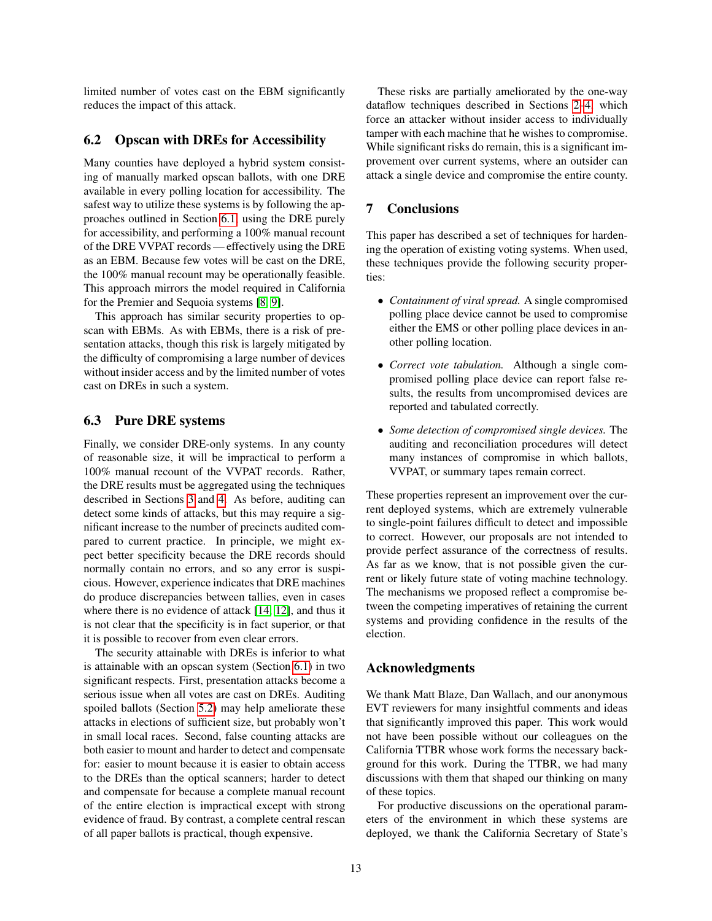limited number of votes cast on the EBM significantly reduces the impact of this attack.

# 6.2 Opscan with DREs for Accessibility

Many counties have deployed a hybrid system consisting of manually marked opscan ballots, with one DRE available in every polling location for accessibility. The safest way to utilize these systems is by following the approaches outlined in Section [6.1,](#page-11-0) using the DRE purely for accessibility, and performing a 100% manual recount of the DRE VVPAT records — effectively using the DRE as an EBM. Because few votes will be cast on the DRE, the 100% manual recount may be operationally feasible. This approach mirrors the model required in California for the Premier and Sequoia systems [\[8,](#page-13-26) [9\]](#page-13-27).

This approach has similar security properties to opscan with EBMs. As with EBMs, there is a risk of presentation attacks, though this risk is largely mitigated by the difficulty of compromising a large number of devices without insider access and by the limited number of votes cast on DREs in such a system.

#### 6.3 Pure DRE systems

Finally, we consider DRE-only systems. In any county of reasonable size, it will be impractical to perform a 100% manual recount of the VVPAT records. Rather, the DRE results must be aggregated using the techniques described in Sections [3](#page-5-0) and [4.](#page-6-0) As before, auditing can detect some kinds of attacks, but this may require a significant increase to the number of precincts audited compared to current practice. In principle, we might expect better specificity because the DRE records should normally contain no errors, and so any error is suspicious. However, experience indicates that DRE machines do produce discrepancies between tallies, even in cases where there is no evidence of attack [\[14,](#page-13-9) [12\]](#page-13-28), and thus it is not clear that the specificity is in fact superior, or that it is possible to recover from even clear errors.

The security attainable with DREs is inferior to what is attainable with an opscan system (Section [6.1\)](#page-11-0) in two significant respects. First, presentation attacks become a serious issue when all votes are cast on DREs. Auditing spoiled ballots (Section [5.2\)](#page-10-1) may help ameliorate these attacks in elections of sufficient size, but probably won't in small local races. Second, false counting attacks are both easier to mount and harder to detect and compensate for: easier to mount because it is easier to obtain access to the DREs than the optical scanners; harder to detect and compensate for because a complete manual recount of the entire election is impractical except with strong evidence of fraud. By contrast, a complete central rescan of all paper ballots is practical, though expensive.

These risks are partially ameliorated by the one-way dataflow techniques described in Sections [2](#page-2-0)[–4,](#page-6-0) which force an attacker without insider access to individually tamper with each machine that he wishes to compromise. While significant risks do remain, this is a significant improvement over current systems, where an outsider can attack a single device and compromise the entire county.

## 7 Conclusions

This paper has described a set of techniques for hardening the operation of existing voting systems. When used, these techniques provide the following security properties:

- *Containment of viral spread.* A single compromised polling place device cannot be used to compromise either the EMS or other polling place devices in another polling location.
- *Correct vote tabulation.* Although a single compromised polling place device can report false results, the results from uncompromised devices are reported and tabulated correctly.
- *Some detection of compromised single devices.* The auditing and reconciliation procedures will detect many instances of compromise in which ballots, VVPAT, or summary tapes remain correct.

These properties represent an improvement over the current deployed systems, which are extremely vulnerable to single-point failures difficult to detect and impossible to correct. However, our proposals are not intended to provide perfect assurance of the correctness of results. As far as we know, that is not possible given the current or likely future state of voting machine technology. The mechanisms we proposed reflect a compromise between the competing imperatives of retaining the current systems and providing confidence in the results of the election.

#### Acknowledgments

We thank Matt Blaze, Dan Wallach, and our anonymous EVT reviewers for many insightful comments and ideas that significantly improved this paper. This work would not have been possible without our colleagues on the California TTBR whose work forms the necessary background for this work. During the TTBR, we had many discussions with them that shaped our thinking on many of these topics.

For productive discussions on the operational parameters of the environment in which these systems are deployed, we thank the California Secretary of State's